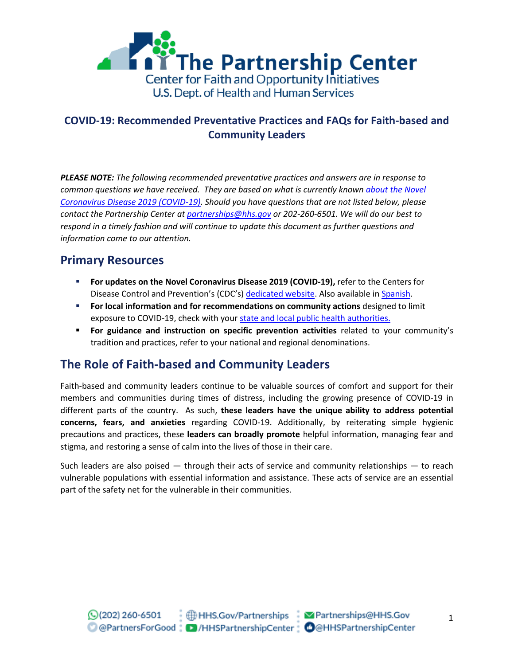

*PLEASE NOTE: The following recommended preventative practices and answers are in response to common questions we have received. They are based on what is currently known [about the Novel](https://www.cdc.gov/coronavirus/2019-ncov/about/index.html)  [Coronavirus Disease 2019 \(COVID-19\).](https://www.cdc.gov/coronavirus/2019-ncov/about/index.html) Should you have questions that are not listed below, please contact the Partnership Center at [partnerships@hhs.gov](mailto:partnerships@hhs.gov) or 202-260-6501. We will do our best to respond in a timely fashion and will continue to update this document as further questions and information come to our attention.*

# **Primary Resources**

- **For updates on the Novel Coronavirus Disease 2019 (COVID-19), refer to the Centers for** Disease Control and Prevention's (CDC's) [dedicated website.](http://www.cdc.gov/Coronavirus/2019-ncov) Also available i[n Spanish.](https://www.cdc.gov/spanish/)
- **For local information and for recommendations on community actions** designed to limit exposure to COVID-19, check with you[r state and local public health authorities.](https://www.cdc.gov/publichealthgateway/healthdirectories/index.html)
- **For guidance and instruction on specific prevention activities** related to your community's tradition and practices, refer to your national and regional denominations.

# **The Role of Faith-based and Community Leaders**

Faith-based and community leaders continue to be valuable sources of comfort and support for their members and communities during times of distress, including the growing presence of COVID-19 in different parts of the country. As such, **these leaders have the unique ability to address potential concerns, fears, and anxieties** regarding COVID-19. Additionally, by reiterating simple hygienic precautions and practices, these **leaders can broadly promote** helpful information, managing fear and stigma, and restoring a sense of calm into the lives of those in their care.

Such leaders are also poised — through their acts of service and community relationships — to reach vulnerable populations with essential information and assistance. These acts of service are an essential part of the safety net for the vulnerable in their communities.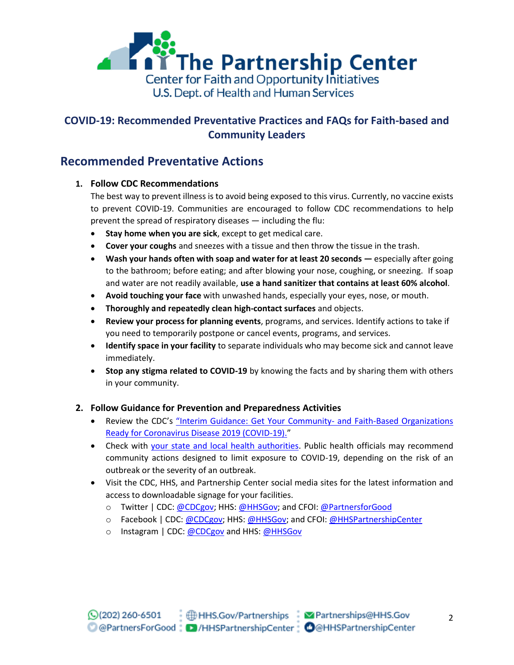

#### **Recommended Preventative Actions**

#### **1. Follow CDC Recommendations**

The best way to prevent illness is to avoid being exposed to this virus. Currently, no vaccine exists to prevent COVID-19. Communities are encouraged to follow CDC recommendations to help prevent the spread of respiratory diseases ― including the flu:

- **Stay home when you are sick**, except to get medical care.
- **Cover your coughs** and sneezes with a tissue and then throw the tissue in the trash.
- **Wash your hands often with soap and water for at least 20 seconds ―** especially after going to the bathroom; before eating; and after blowing your nose, coughing, or sneezing. If soap and water are not readily available, **use a hand sanitizer that contains at least 60% alcohol**.
- **Avoid touching your face** with unwashed hands, especially your eyes, nose, or mouth.
- **Thoroughly and repeatedly clean high-contact surfaces** and objects.
- **Review your process for planning events**, programs, and services. Identify actions to take if you need to temporarily postpone or cancel events, programs, and services.
- **Identify space in your facility** to separate individuals who may become sick and cannot leave immediately.
- **Stop any stigma related to COVID-19** by knowing the facts and by sharing them with others in your community.

#### **2. Follow Guidance for Prevention and Preparedness Activities**

- Review the CDC's "[Interim Guidance: Get Your Community-](https://www.cdc.gov/coronavirus/2019-ncov/community/guidance-community-faith-organizations.html) and Faith-Based Organizations [Ready for Coronavirus Disease 2019 \(COVID-19\).](https://www.cdc.gov/coronavirus/2019-ncov/community/guidance-community-faith-organizations.html)"
- Check with [your state and local health authorities.](https://www.cdc.gov/publichealthgateway/healthdirectories/index.html) Public health officials may recommend community actions designed to limit exposure to COVID-19, depending on the risk of an outbreak or the severity of an outbreak.
- Visit the CDC, HHS, and Partnership Center social media sites for the latest information and access to downloadable signage for your facilities.
	- o Twitter | CDC: [@CDCgov;](https://twitter.com/cdcgov) HHS: [@HHSGov;](https://twitter.com/HHSGov) and CFOI: [@PartnersforGood](https://twitter.com/PartnersforGood)
	- o Facebook | CDC: [@CDCgov;](https://www.facebook.com/CDC/) HHS[: @HHSGov;](https://www.facebook.com/HHS/) and CFOI: [@HHSPartnershipCenter](https://www.facebook.com/HHSPartnershipCenter)
	- o Instagram | CDC: [@CDCgov](https://www.instagram.com/CDCgov) and HHS: [@HHSGov](https://www.instagram.com/hhsgov/)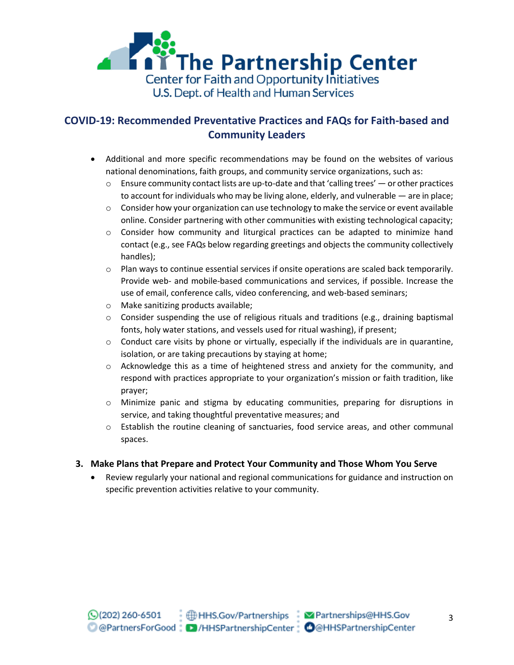

- Additional and more specific recommendations may be found on the websites of various national denominations, faith groups, and community service organizations, such as:
	- $\circ$  Ensure community contact lists are up-to-date and that 'calling trees' or other practices to account for individuals who may be living alone, elderly, and vulnerable ― are in place;
	- $\circ$  Consider how your organization can use technology to make the service or event available online. Consider partnering with other communities with existing technological capacity;
	- $\circ$  Consider how community and liturgical practices can be adapted to minimize hand contact (e.g., see FAQs below regarding greetings and objects the community collectively handles);
	- $\circ$  Plan ways to continue essential services if onsite operations are scaled back temporarily. Provide web- and mobile-based communications and services, if possible. Increase the use of email, conference calls, video conferencing, and web-based seminars;
	- o Make sanitizing products available;
	- $\circ$  Consider suspending the use of religious rituals and traditions (e.g., draining baptismal fonts, holy water stations, and vessels used for ritual washing), if present;
	- o Conduct care visits by phone or virtually, especially if the individuals are in quarantine, isolation, or are taking precautions by staying at home;
	- $\circ$  Acknowledge this as a time of heightened stress and anxiety for the community, and respond with practices appropriate to your organization's mission or faith tradition, like prayer;
	- o Minimize panic and stigma by educating communities, preparing for disruptions in service, and taking thoughtful preventative measures; and
	- $\circ$  Establish the routine cleaning of sanctuaries, food service areas, and other communal spaces.

#### **3. Make Plans that Prepare and Protect Your Community and Those Whom You Serve**

 Review regularly your national and regional communications for guidance and instruction on specific prevention activities relative to your community.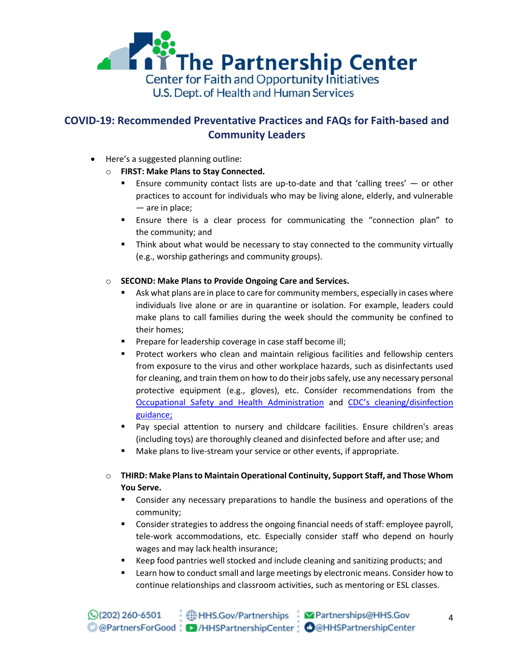

- Here's a suggested planning outline:
	- o **FIRST: Make Plans to Stay Connected.** 
		- Ensure community contact lists are up-to-date and that 'calling trees' or other practices to account for individuals who may be living alone, elderly, and vulnerable ― are in place;
		- Ensure there is a clear process for communicating the "connection plan" to the community; and
		- Think about what would be necessary to stay connected to the community virtually (e.g., worship gatherings and community groups).
	- o **SECOND: Make Plans to Provide Ongoing Care and Services.**
		- Ask what plans are in place to care for community members, especially in cases where individuals live alone or are in quarantine or isolation. For example, leaders could make plans to call families during the week should the community be confined to their homes;
		- **Prepare for leadership coverage in case staff become ill;**
		- **Protect workers who clean and maintain religious facilities and fellowship centers** from exposure to the virus and other workplace hazards, such as disinfectants used for cleaning, and train them on how to do their jobs safely, use any necessary personal protective equipment (e.g., gloves), etc. Consider recommendations from the [Occupational Safety and Health Administration](http://www.osha.gov/coronavirus) and [CDC's cleaning/disinfection](https://www.cdc.gov/coronavirus/2019-ncov/community/organizations/cleaning-disinfection.html)  [guidance;](https://www.cdc.gov/coronavirus/2019-ncov/community/organizations/cleaning-disinfection.html)
		- Pay special attention to nursery and childcare facilities. Ensure children's areas (including toys) are thoroughly cleaned and disinfected before and after use; and
		- Make plans to live-stream your service or other events, if appropriate.
	- o **THIRD: Make Plans to Maintain Operational Continuity, Support Staff, and Those Whom You Serve.**
		- Consider any necessary preparations to handle the business and operations of the community;
		- Consider strategies to address the ongoing financial needs of staff: employee payroll, tele-work accommodations, etc. Especially consider staff who depend on hourly wages and may lack health insurance;
		- Keep food pantries well stocked and include cleaning and sanitizing products; and
		- Learn how to conduct small and large meetings by electronic means. Consider how to continue relationships and classroom activities, such as mentoring or ESL classes.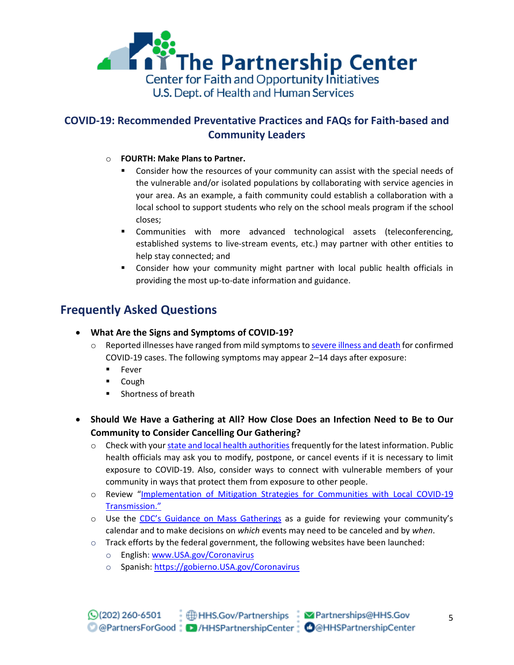

#### o **FOURTH: Make Plans to Partner.**

- **Consider how the resources of your community can assist with the special needs of** the vulnerable and/or isolated populations by collaborating with service agencies in your area. As an example, a faith community could establish a collaboration with a local school to support students who rely on the school meals program if the school closes;
- Communities with more advanced technological assets (teleconferencing, established systems to live-stream events, etc.) may partner with other entities to help stay connected; and
- Consider how your community might partner with local public health officials in providing the most up-to-date information and guidance.

# **Frequently Asked Questions**

- **What Are the Signs and Symptoms of COVID-19?** 
	- o Reported illnesses have ranged from mild symptoms t[o severe illness and death](http://www.cdc.gov/Coronavirus/2019-ncov) for confirmed COVID-19 cases. The following symptoms may appear 2–14 days after exposure:
		- **Fever**
		- Cough
		- **Shortness of breath**
- **Should We Have a Gathering at All? How Close Does an Infection Need to Be to Our Community to Consider Cancelling Our Gathering?**
	- $\circ$  Check with you[r state and local health authorities](https://go.usa.gov/xdFg4) frequently for the latest information. Public health officials may ask you to modify, postpone, or cancel events if it is necessary to limit exposure to COVID-19. Also, consider ways to connect with vulnerable members of your community in ways that protect them from exposure to other people.
	- o Review "[Implementation of Mitigation Strategies for Communities with Local COVID-19](https://www.cdc.gov/coronavirus/2019-ncov/downloads/community-mitigation-strategy.pdf)  [Transmission.](https://www.cdc.gov/coronavirus/2019-ncov/downloads/community-mitigation-strategy.pdf)"
	- o Use the CDC'[s Guidance on Mass Gatherings](https://www.cdc.gov/coronavirus/2019-ncov/community/mass-gatherings-ready-for-covid-19.html) as a guide for reviewing your community's calendar and to make decisions on *which* events may need to be canceled and by *when*.
	- $\circ$  Track efforts by the federal government, the following websites have been launched:
		- o English: [www.USA.gov/Coronavirus](http://www.usa.gov/Coronavirus)
		- o Spanish: [https://gobierno.USA.gov/Coronavirus](https://gobierno.usa.gov/Coronavirus)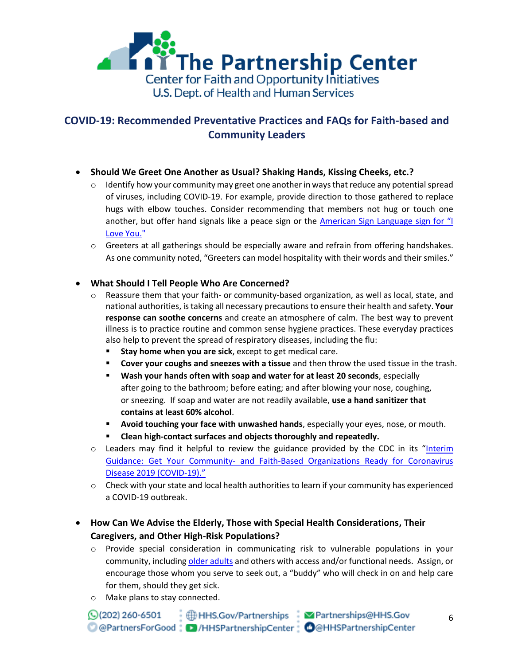

- **Should We Greet One Another as Usual? Shaking Hands, Kissing Cheeks, etc.?**
	- $\circ$  Identify how your community may greet one another in ways that reduce any potential spread of viruses, including COVID-19. For example, provide direction to those gathered to replace hugs with elbow touches. Consider recommending that members not hug or touch one another, but offer hand signals like a peace sign or the American Sign Language sign for "I [Love You."](https://www.handspeak.com/word/search/index.php?id=1098)
	- $\circ$  Greeters at all gatherings should be especially aware and refrain from offering handshakes. As one community noted, "Greeters can model hospitality with their words and their smiles."

#### **What Should I Tell People Who Are Concerned?**

- $\circ$  Reassure them that your faith- or community-based organization, as well as local, state, and national authorities, is taking all necessary precautions to ensure their health and safety. **Your response can soothe concerns** and create an atmosphere of calm. The best way to prevent illness is to practice routine and common sense hygiene practices. These everyday practices also help to prevent the spread of respiratory diseases, including the flu:
	- **Stay home when you are sick**, except to get medical care.
	- **Cover your coughs and sneezes with a tissue** and then throw the used tissue in the trash.
	- **Wash your hands often with soap and water for at least 20 seconds**, especially after going to the bathroom; before eating; and after blowing your nose, coughing, or sneezing. If soap and water are not readily available, **use a hand sanitizer that contains at least 60% alcohol**.
	- **Avoid touching your face with unwashed hands**, especially your eyes, nose, or mouth.
	- **Clean high-contact surfaces and objects thoroughly and repeatedly.**
- $\circ$  Leaders may find it helpful to review the guidance provided by the CDC in its "Interim Guidance: Get Your Community- [and Faith-Based Organizations Ready for Coronavirus](https://www.cdc.gov/coronavirus/2019-ncov/community/guidance-community-faith-organizations.html)  [Disease 2019 \(COVID-19\).](https://www.cdc.gov/coronavirus/2019-ncov/community/guidance-community-faith-organizations.html)"
- $\circ$  Check with your state and local health authorities to learn if your community has experienced a COVID-19 outbreak.

#### **How Can We Advise the Elderly, Those with Special Health Considerations, Their Caregivers, and Other High-Risk Populations?**

- o Provide special consideration in communicating risk to vulnerable populations in your community, includin[g older adults](https://www.cdc.gov/aging/emergency/) and others with access and/or functional needs. Assign, or encourage those whom you serve to seek out, a "buddy" who will check in on and help care for them, should they get sick.
- o Make plans to stay connected.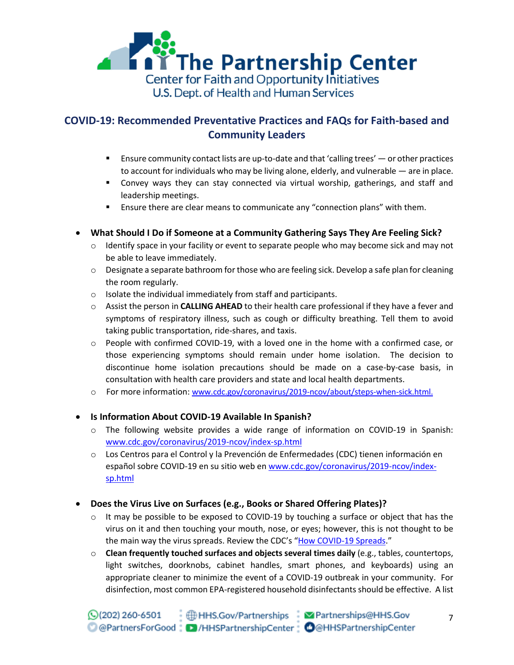

- Ensure community contact lists are up-to-date and that 'calling trees' or other practices to account for individuals who may be living alone, elderly, and vulnerable — are in place.
- Convey ways they can stay connected via virtual worship, gatherings, and staff and leadership meetings.
- **Ensure there are clear means to communicate any "connection plans" with them.**
- **What Should I Do if Someone at a Community Gathering Says They Are Feeling Sick?** 
	- $\circ$  Identify space in your facility or event to separate people who may become sick and may not be able to leave immediately.
	- $\circ$  Designate a separate bathroom for those who are feeling sick. Develop a safe plan for cleaning the room regularly.
	- o Isolate the individual immediately from staff and participants.
	- o Assist the person in **CALLING AHEAD** to their health care professional if they have a fever and symptoms of respiratory illness, such as cough or difficulty breathing. Tell them to avoid taking public transportation, ride-shares, and taxis.
	- $\circ$  People with confirmed COVID-19, with a loved one in the home with a confirmed case, or those experiencing symptoms should remain under home isolation. The decision to discontinue home isolation precautions should be made on a case-by-case basis, in consultation with health care providers and state and local health departments.
	- o For more information: [www.cdc.gov/coronavirus/2019-ncov/about/steps-when-sick.html.](http://www.cdc.gov/coronavirus/2019-ncov/about/steps-when-sick.html)
- **Is Information About COVID-19 Available In Spanish?**
	- o The following website provides a wide range of information on COVID-19 in Spanish: [www.cdc.gov/coronavirus/2019-ncov/index-sp.html](http://www.cdc.gov/coronavirus/2019-ncov/index-sp.html)
	- o Los Centros para el Control y la Prevención de Enfermedades (CDC) tienen información en español sobre COVID-19 en su sitio web en [www.cdc.gov/coronavirus/2019-ncov/index](http://www.cdc.gov/coronavirus/2019-ncov/index-sp.html)[sp.html](http://www.cdc.gov/coronavirus/2019-ncov/index-sp.html)

#### **Does the Virus Live on Surfaces (e.g., Books or Shared Offering Plates)?**

- $\circ$  It may be possible to be exposed to COVID-19 by touching a surface or object that has the virus on it and then touching your mouth, nose, or eyes; however, this is not thought to be the main way the virus spreads. Review the CDC's "[How COVID-19 Spreads.](https://www.cdc.gov/coronavirus/2019-ncov/about/transmission.html)"
- o **Clean frequently touched surfaces and objects several times daily** (e.g., tables, countertops, light switches, doorknobs, cabinet handles, smart phones, and keyboards) using an appropriate cleaner to minimize the event of a COVID-19 outbreak in your community. For disinfection, most common EPA-registered household disinfectants should be effective. A list